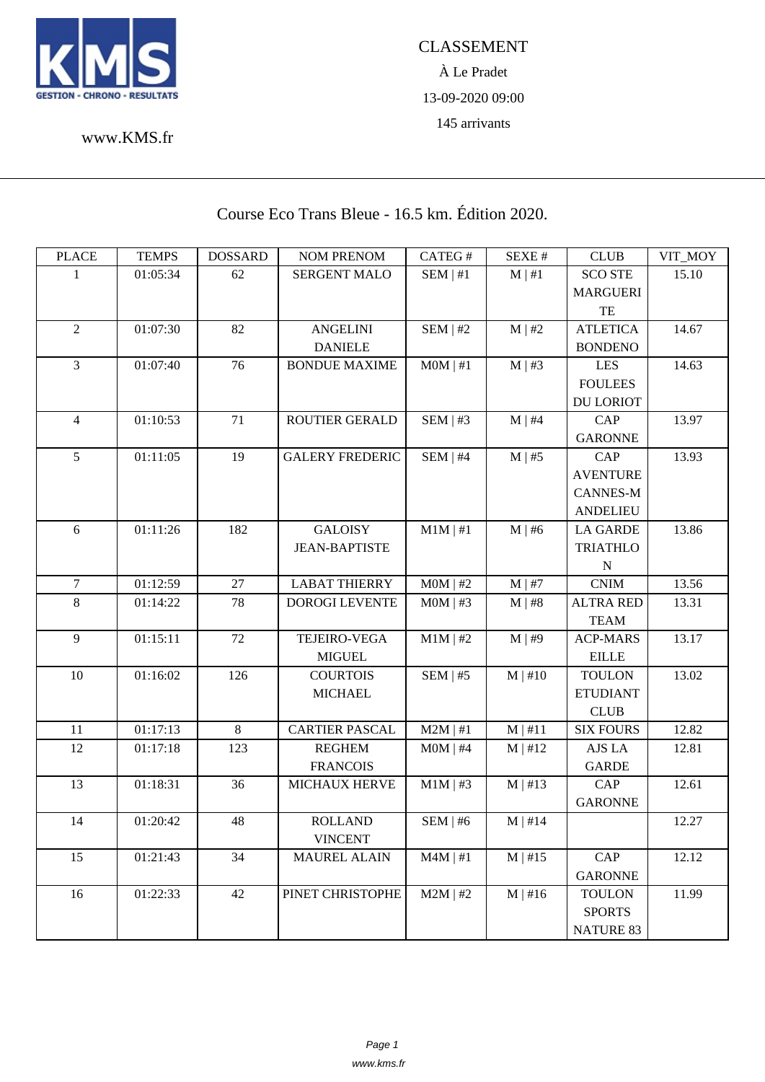

À Le Pradet 13-09-2020 09:00 145 arrivants

www.KMS.fr

## Course Eco Trans Bleue - 16.5 km. Édition 2020.

| <b>PLACE</b>   | <b>TEMPS</b> | <b>DOSSARD</b> | <b>NOM PRENOM</b>      | CATEG#        | SEXE#        | <b>CLUB</b>      | VIT_MOY |
|----------------|--------------|----------------|------------------------|---------------|--------------|------------------|---------|
| 1              | 01:05:34     | 62             | SERGENT MALO           | SEM   #1      | $M \mid #1$  | <b>SCO STE</b>   | 15.10   |
|                |              |                |                        |               |              | <b>MARGUERI</b>  |         |
|                |              |                |                        |               |              | TE               |         |
| $\overline{2}$ | 01:07:30     | 82             | <b>ANGELINI</b>        | $SEM$   #2    | $M \mid #2$  | <b>ATLETICA</b>  | 14.67   |
|                |              |                | <b>DANIELE</b>         |               |              | <b>BONDENO</b>   |         |
| 3              | 01:07:40     | 76             | <b>BONDUE MAXIME</b>   | $MOM$   #1    | $M \mid #3$  | <b>LES</b>       | 14.63   |
|                |              |                |                        |               |              | <b>FOULEES</b>   |         |
|                |              |                |                        |               |              | <b>DU LORIOT</b> |         |
| $\overline{4}$ | 01:10:53     | 71             | ROUTIER GERALD         | SEM   #3      | $M \mid #4$  | <b>CAP</b>       | 13.97   |
|                |              |                |                        |               |              | <b>GARONNE</b>   |         |
| 5              | 01:11:05     | 19             | <b>GALERY FREDERIC</b> | $SEM$   #4    | $M \mid #5$  | <b>CAP</b>       | 13.93   |
|                |              |                |                        |               |              | <b>AVENTURE</b>  |         |
|                |              |                |                        |               |              | <b>CANNES-M</b>  |         |
|                |              |                |                        |               |              | <b>ANDELIEU</b>  |         |
| 6              | 01:11:26     | 182            | <b>GALOISY</b>         | $M1M \mid #1$ | $M \mid #6$  | <b>LA GARDE</b>  | 13.86   |
|                |              |                | <b>JEAN-BAPTISTE</b>   |               |              | <b>TRIATHLO</b>  |         |
|                |              |                |                        |               |              | $\mathbf N$      |         |
| $\tau$         | 01:12:59     | 27             | <b>LABAT THIERRY</b>   | $MOM$   #2    | $M \mid #7$  | <b>CNIM</b>      | 13.56   |
| 8              | 01:14:22     | 78             | <b>DOROGI LEVENTE</b>  | $MOM$   #3    | $M \mid #8$  | <b>ALTRA RED</b> | 13.31   |
|                |              |                |                        |               |              | <b>TEAM</b>      |         |
| $\overline{9}$ | 01:15:11     | 72             | <b>TEJEIRO-VEGA</b>    | $M1M$   #2    | $M \mid #9$  | <b>ACP-MARS</b>  | 13.17   |
|                |              |                | <b>MIGUEL</b>          |               |              | <b>EILLE</b>     |         |
| 10             | 01:16:02     | 126            | <b>COURTOIS</b>        | $SEM$   #5    | $M \mid #10$ | <b>TOULON</b>    | 13.02   |
|                |              |                | <b>MICHAEL</b>         |               |              | <b>ETUDIANT</b>  |         |
|                |              |                |                        |               |              | <b>CLUB</b>      |         |
| 11             | 01:17:13     | 8              | <b>CARTIER PASCAL</b>  | $M2M$   #1    | M   #11      | <b>SIX FOURS</b> | 12.82   |
| 12             | 01:17:18     | 123            | <b>REGHEM</b>          | $MOM$   #4    | $M$   #12    | AJS LA           | 12.81   |
|                |              |                | <b>FRANCOIS</b>        |               |              | <b>GARDE</b>     |         |
| 13             | 01:18:31     | 36             | <b>MICHAUX HERVE</b>   | $M1M$   #3    | $M$   #13    | <b>CAP</b>       | 12.61   |
|                |              |                |                        |               |              | <b>GARONNE</b>   |         |
| 14             | 01:20:42     | 48             | <b>ROLLAND</b>         | SEM   #6      | $M$   #14    |                  | 12.27   |
|                |              |                | <b>VINCENT</b>         |               |              |                  |         |
| 15             | 01:21:43     | 34             | <b>MAUREL ALAIN</b>    | $M4M$   #1    | $M$   #15    | CAP              | 12.12   |
|                |              |                |                        |               |              | <b>GARONNE</b>   |         |
| 16             | 01:22:33     | 42             | PINET CHRISTOPHE       | $M2M$   #2    | $M \mid #16$ | <b>TOULON</b>    | 11.99   |
|                |              |                |                        |               |              | <b>SPORTS</b>    |         |
|                |              |                |                        |               |              | <b>NATURE 83</b> |         |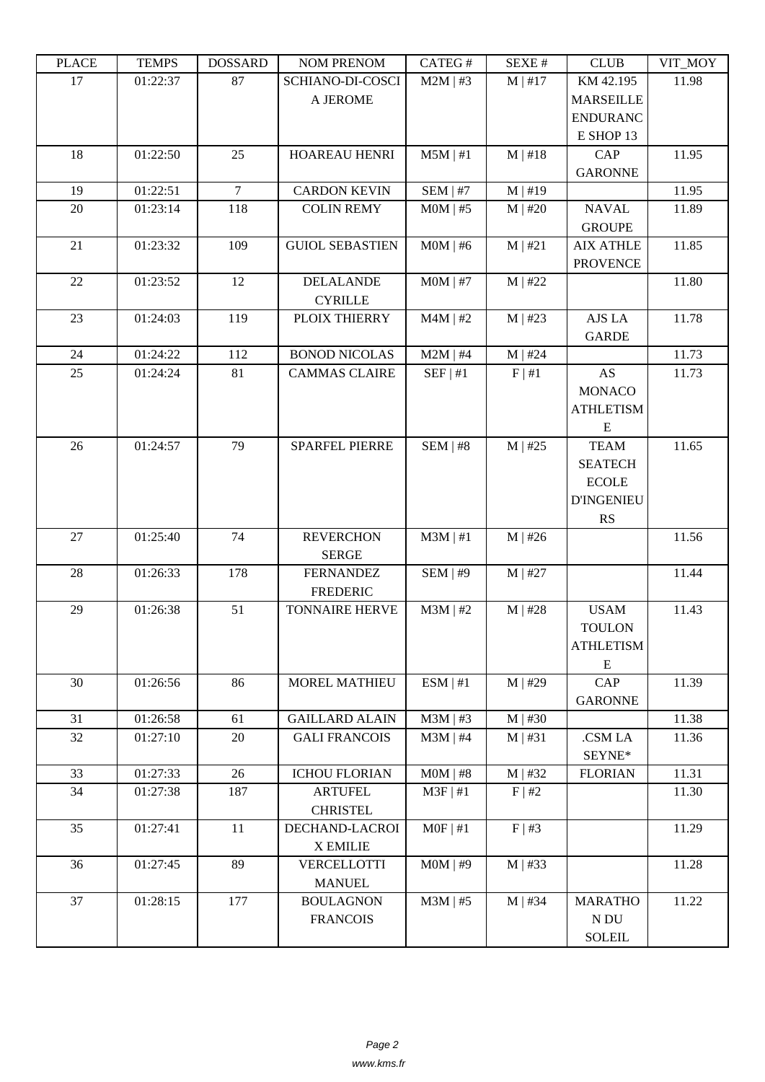| LLACE | L TIATI D | <b>UUUUUUU</b> | <b>INUINI I INEINUINI</b> | CΛ1 LU π      | DL/AL π      | CLUD              | YII_MUI |
|-------|-----------|----------------|---------------------------|---------------|--------------|-------------------|---------|
| 17    | 01:22:37  | 87             | SCHIANO-DI-COSCI          | $M2M$   #3    | $M$   #17    | KM 42.195         | 11.98   |
|       |           |                | A JEROME                  |               |              | <b>MARSEILLE</b>  |         |
|       |           |                |                           |               |              | <b>ENDURANC</b>   |         |
|       |           |                |                           |               |              | E SHOP 13         |         |
| 18    | 01:22:50  | 25             | <b>HOAREAU HENRI</b>      | $M5M$   #1    |              | CAP               | 11.95   |
|       |           |                |                           |               | $M$   #18    |                   |         |
|       |           |                |                           |               |              | <b>GARONNE</b>    |         |
| 19    | 01:22:51  | $\overline{7}$ | <b>CARDON KEVIN</b>       | $SEM$   #7    | $M$   #19    |                   | 11.95   |
| 20    | 01:23:14  | 118            | <b>COLIN REMY</b>         | $MOM$   #5    | $M$   #20    | <b>NAVAL</b>      | 11.89   |
|       |           |                |                           |               |              | <b>GROUPE</b>     |         |
| 21    | 01:23:32  | 109            | <b>GUIOL SEBASTIEN</b>    | $MOM$   #6    | M   #21      | <b>AIX ATHLE</b>  | 11.85   |
|       |           |                |                           |               |              | <b>PROVENCE</b>   |         |
| 22    | 01:23:52  | 12             | <b>DELALANDE</b>          | $MOM$   #7    | $M$   #22    |                   | 11.80   |
|       |           |                | <b>CYRILLE</b>            |               |              |                   |         |
| 23    | 01:24:03  | 119            | PLOIX THIERRY             | $M4M$   #2    | $M$   #23    | AJS LA            | 11.78   |
|       |           |                |                           |               |              |                   |         |
|       |           |                |                           |               |              | <b>GARDE</b>      |         |
| 24    | 01:24:22  | 112            | <b>BONOD NICOLAS</b>      | $M2M$   #4    | $M$   #24    |                   | 11.73   |
| 25    | 01:24:24  | 81             | <b>CAMMAS CLAIRE</b>      | SEF   #1      | F   #1       | <b>AS</b>         | 11.73   |
|       |           |                |                           |               |              | <b>MONACO</b>     |         |
|       |           |                |                           |               |              | <b>ATHLETISM</b>  |         |
|       |           |                |                           |               |              | E                 |         |
| 26    | 01:24:57  | 79             | <b>SPARFEL PIERRE</b>     | SEM   #8      | $M$   #25    | <b>TEAM</b>       | 11.65   |
|       |           |                |                           |               |              | <b>SEATECH</b>    |         |
|       |           |                |                           |               |              | <b>ECOLE</b>      |         |
|       |           |                |                           |               |              | <b>D'INGENIEU</b> |         |
|       |           |                |                           |               |              |                   |         |
|       |           |                |                           |               |              | RS                |         |
| 27    | 01:25:40  | 74             | <b>REVERCHON</b>          | $M3M \mid #1$ | $M$   #26    |                   | 11.56   |
|       |           |                | <b>SERGE</b>              |               |              |                   |         |
| 28    | 01:26:33  | 178            | <b>FERNANDEZ</b>          | SEM   #9      | $M$   #27    |                   | 11.44   |
|       |           |                | <b>FREDERIC</b>           |               |              |                   |         |
| 29    | 01:26:38  | 51             | <b>TONNAIRE HERVE</b>     | $M3M$   #2    | $M$   #28    | <b>USAM</b>       | 11.43   |
|       |           |                |                           |               |              | <b>TOULON</b>     |         |
|       |           |                |                           |               |              | <b>ATHLETISM</b>  |         |
|       |           |                |                           |               |              | ${\bf E}$         |         |
| 30    | 01:26:56  | 86             | <b>MOREL MATHIEU</b>      | ESM   #1      | $M$   #29    | CAP               | 11.39   |
|       |           |                |                           |               |              | <b>GARONNE</b>    |         |
| 31    | 01:26:58  | 61             | <b>GAILLARD ALAIN</b>     | $M3M$   #3    | $M \mid #30$ |                   | 11.38   |
| 32    | 01:27:10  | $20\,$         | <b>GALI FRANCOIS</b>      | $M3M$   #4    | M   #31      | .CSM LA           | 11.36   |
|       |           |                |                           |               |              |                   |         |
|       |           |                |                           |               |              | SEYNE*            |         |
| 33    | 01:27:33  | 26             | <b>ICHOU FLORIAN</b>      | $MOM$   #8    | $M$   #32    | <b>FLORIAN</b>    | 11.31   |
| 34    | 01:27:38  | 187            | <b>ARTUFEL</b>            | $M3F$   #1    | F   #2       |                   | 11.30   |
|       |           |                | <b>CHRISTEL</b>           |               |              |                   |         |
| 35    | 01:27:41  | 11             | DECHAND-LACROI            | $MOF$   #1    | $F \mid #3$  |                   | 11.29   |
|       |           |                | <b>X EMILIE</b>           |               |              |                   |         |
| 36    | 01:27:45  | 89             | VERCELLOTTI               | $MOM$   #9    | $M$   #33    |                   | 11.28   |
|       |           |                | <b>MANUEL</b>             |               |              |                   |         |
| 37    | 01:28:15  | 177            | <b>BOULAGNON</b>          | $M3M$   #5    | $M \mid #34$ | <b>MARATHO</b>    | 11.22   |
|       |           |                | <b>FRANCOIS</b>           |               |              | N DU              |         |
|       |           |                |                           |               |              | <b>SOLEIL</b>     |         |
|       |           |                |                           |               |              |                   |         |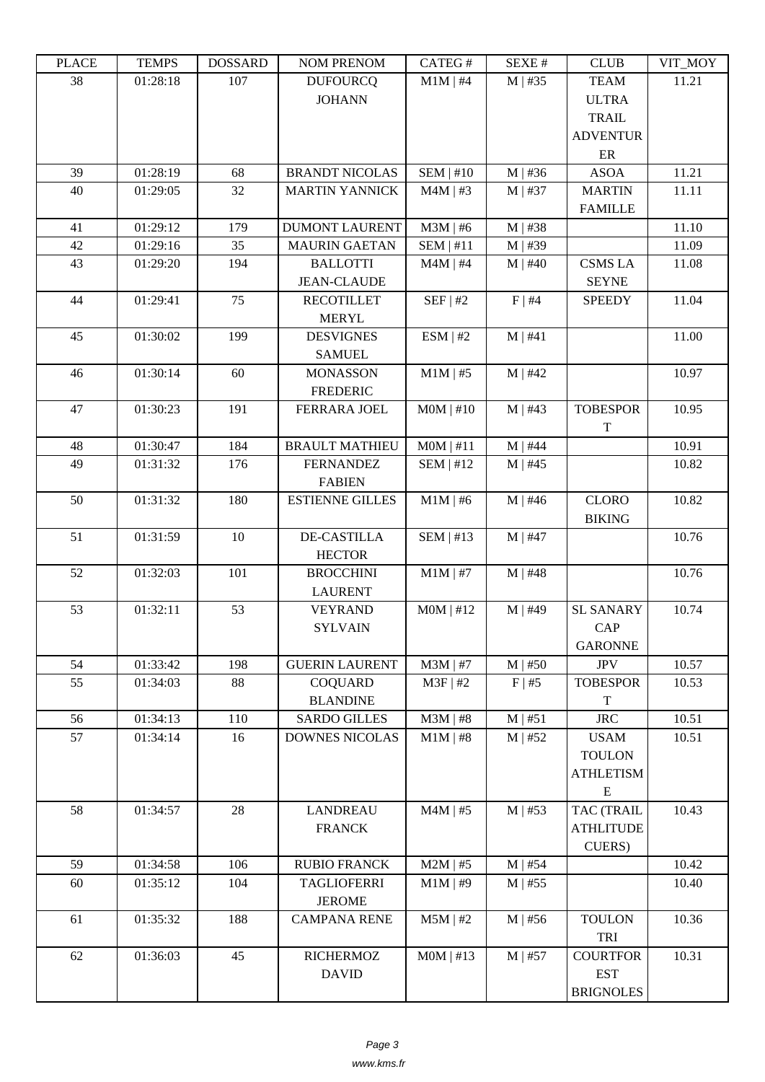| LLAUL | L LIVII D | <b>UUUUUUU</b> | <b>INUMER NETVUM</b>   | CATLO T     | DL/AL π      | CLUD              | VII_MUI |
|-------|-----------|----------------|------------------------|-------------|--------------|-------------------|---------|
| 38    | 01:28:18  | 107            | <b>DUFOURCO</b>        | $M1M$   #4  | $M$   #35    | <b>TEAM</b>       | 11.21   |
|       |           |                | <b>JOHANN</b>          |             |              | <b>ULTRA</b>      |         |
|       |           |                |                        |             |              | <b>TRAIL</b>      |         |
|       |           |                |                        |             |              | <b>ADVENTUR</b>   |         |
|       |           |                |                        |             |              | ER                |         |
| 39    | 01:28:19  | 68             | <b>BRANDT NICOLAS</b>  | SEM   #10   | $M$   #36    | <b>ASOA</b>       | 11.21   |
| 40    | 01:29:05  | 32             | <b>MARTIN YANNICK</b>  | $M4M$   #3  | $M$   #37    | <b>MARTIN</b>     | 11.11   |
|       |           |                |                        |             |              | <b>FAMILLE</b>    |         |
| 41    | 01:29:12  | 179            | <b>DUMONT LAURENT</b>  | $M3M$   #6  | $M$   #38    |                   | 11.10   |
| 42    | 01:29:16  | 35             | <b>MAURIN GAETAN</b>   | $SEM$   #11 | M   #39      |                   | 11.09   |
| 43    | 01:29:20  | 194            | <b>BALLOTTI</b>        | $M4M$   #4  | $M$   #40    | <b>CSMS LA</b>    | 11.08   |
|       |           |                | <b>JEAN-CLAUDE</b>     |             |              | <b>SEYNE</b>      |         |
| 44    | 01:29:41  | 75             | <b>RECOTILLET</b>      | SEF   #2    | F   #4       | <b>SPEEDY</b>     | 11.04   |
|       |           |                | <b>MERYL</b>           |             |              |                   |         |
| 45    | 01:30:02  | 199            | <b>DESVIGNES</b>       | ESM   #2    | M   #41      |                   | 11.00   |
|       |           |                | <b>SAMUEL</b>          |             |              |                   |         |
| 46    | 01:30:14  | 60             | <b>MONASSON</b>        | $M1M$   #5  | $M$   #42    |                   | 10.97   |
|       |           |                | <b>FREDERIC</b>        |             |              |                   |         |
| 47    | 01:30:23  | 191            | FERRARA JOEL           | $MOM$   #10 | $M$   #43    | <b>TOBESPOR</b>   | 10.95   |
|       |           |                |                        |             |              | T                 |         |
| 48    | 01:30:47  | 184            | <b>BRAULT MATHIEU</b>  | MOM   #11   | $M$   #44    |                   | 10.91   |
| 49    | 01:31:32  | 176            | <b>FERNANDEZ</b>       | $SEM$   #12 | $M$   #45    |                   | 10.82   |
|       |           |                | <b>FABIEN</b>          |             |              |                   |         |
| 50    | 01:31:32  | 180            | <b>ESTIENNE GILLES</b> | $M1M$   #6  | $M$   #46    | <b>CLORO</b>      | 10.82   |
|       |           |                |                        |             |              | <b>BIKING</b>     |         |
| 51    | 01:31:59  | 10             | <b>DE-CASTILLA</b>     | SEM   #13   | $M$   #47    |                   | 10.76   |
|       |           |                | <b>HECTOR</b>          |             |              |                   |         |
| 52    | 01:32:03  | 101            | <b>BROCCHINI</b>       | $M1M$   #7  | $M$   #48    |                   | 10.76   |
|       |           |                | <b>LAURENT</b>         |             |              |                   |         |
| 53    | 01:32:11  | 53             | <b>VEYRAND</b>         | $MOM$   #12 | $M$   #49    | <b>SL SANARY</b>  | 10.74   |
|       |           |                | <b>SYLVAIN</b>         |             |              | <b>CAP</b>        |         |
|       |           |                |                        |             |              | <b>GARONNE</b>    |         |
| 54    | 01:33:42  | 198            | <b>GUERIN LAURENT</b>  | $M3M$   #7  | $M$   #50    | <b>JPV</b>        | 10.57   |
| 55    | 01:34:03  | 88             | <b>COQUARD</b>         | $M3F$   #2  | F   #5       | <b>TOBESPOR</b>   | 10.53   |
|       |           |                | <b>BLANDINE</b>        |             |              | T                 |         |
| 56    | 01:34:13  | 110            | <b>SARDO GILLES</b>    | $M3M$   #8  | $M \mid #51$ | <b>JRC</b>        | 10.51   |
| 57    | 01:34:14  | 16             | <b>DOWNES NICOLAS</b>  | $M1M$   #8  | $M$   #52    | <b>USAM</b>       | 10.51   |
|       |           |                |                        |             |              | <b>TOULON</b>     |         |
|       |           |                |                        |             |              | <b>ATHLETISM</b>  |         |
|       |           |                |                        |             |              | ${\bf E}$         |         |
| 58    | 01:34:57  | 28             | <b>LANDREAU</b>        | $M4M$   #5  | $M$   #53    | <b>TAC (TRAIL</b> | 10.43   |
|       |           |                | <b>FRANCK</b>          |             |              | <b>ATHLITUDE</b>  |         |
|       |           |                |                        |             |              | CUERS)            |         |
| 59    | 01:34:58  | 106            | <b>RUBIO FRANCK</b>    | $M2M$   #5  | $M$   #54    |                   | 10.42   |
| 60    | 01:35:12  | 104            | <b>TAGLIOFERRI</b>     | $M1M$   #9  | $M$   #55    |                   | 10.40   |
|       |           |                | <b>JEROME</b>          |             |              |                   |         |
| 61    | 01:35:32  | 188            | <b>CAMPANA RENE</b>    | $M5M$   #2  | $M$   #56    | <b>TOULON</b>     | 10.36   |
|       |           |                |                        |             |              | TRI               |         |
| 62    | 01:36:03  | 45             | <b>RICHERMOZ</b>       | MOM   #13   | $M$   #57    | <b>COURTFOR</b>   | 10.31   |
|       |           |                | <b>DAVID</b>           |             |              | <b>EST</b>        |         |
|       |           |                |                        |             |              | <b>BRIGNOLES</b>  |         |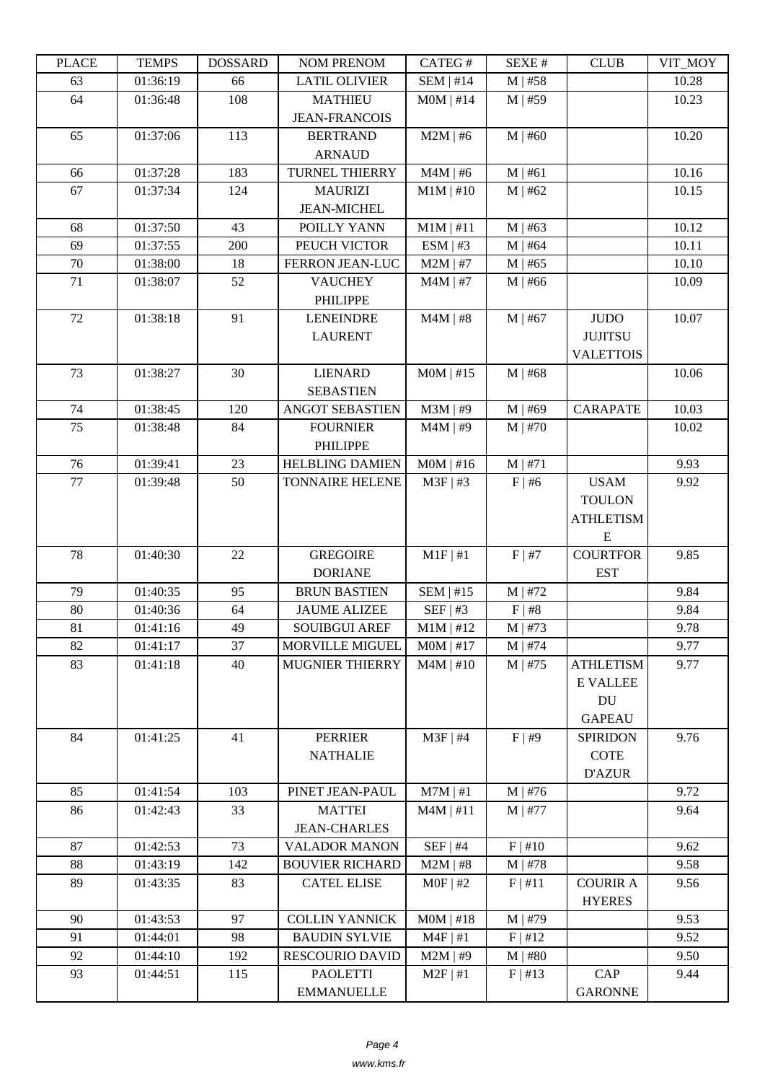| LLAUD | L LIVIII IJ | <b>UUUUUUU</b> | <b>INUMER NETVUM</b>       | <b>CAILUT</b> | ד בר⁄זכו    | CLUD             | VII_MUI |
|-------|-------------|----------------|----------------------------|---------------|-------------|------------------|---------|
| 63    | 01:36:19    | 66             | <b>LATIL OLIVIER</b>       | $SEM$   #14   | $M$   #58   |                  | 10.28   |
| 64    | 01:36:48    | 108            | <b>MATHIEU</b>             | $MOM$   #14   | $M$   #59   |                  | 10.23   |
|       |             |                | <b>JEAN-FRANCOIS</b>       |               |             |                  |         |
| 65    | 01:37:06    | 113            | <b>BERTRAND</b>            | $M2M$   #6    | $M$   #60   |                  | 10.20   |
|       |             |                | <b>ARNAUD</b>              |               |             |                  |         |
| 66    | 01:37:28    | 183            | TURNEL THIERRY             | $M4M$   #6    | M   #61     |                  | 10.16   |
| 67    | 01:37:34    | 124            | <b>MAURIZI</b>             | $M1M$   #10   | $M$   #62   |                  | 10.15   |
|       |             |                | <b>JEAN-MICHEL</b>         |               |             |                  |         |
| 68    | 01:37:50    | 43             | POILLY YANN                | $M1M$   #11   | $M$   #63   |                  | 10.12   |
| 69    | 01:37:55    | 200            | PEUCH VICTOR               | ESM   #3      | $M$   #64   |                  | 10.11   |
| 70    | 01:38:00    | 18             | FERRON JEAN-LUC            | $M2M$   #7    | $M$   #65   |                  | 10.10   |
| 71    | 01:38:07    | 52             | <b>VAUCHEY</b><br>PHILIPPE | $M4M$   #7    | $M$   #66   |                  | 10.09   |
| 72    | 01:38:18    | 91             | <b>LENEINDRE</b>           | $M4M$   #8    | $M$   #67   | <b>JUDO</b>      | 10.07   |
|       |             |                | <b>LAURENT</b>             |               |             | <b>JUJITSU</b>   |         |
|       |             |                |                            |               |             | <b>VALETTOIS</b> |         |
| 73    | 01:38:27    | 30             | <b>LIENARD</b>             | $MOM$   #15   | $M$   #68   |                  | 10.06   |
|       |             |                | <b>SEBASTIEN</b>           |               |             |                  |         |
| 74    | 01:38:45    | 120            | <b>ANGOT SEBASTIEN</b>     | $M3M$   #9    | $M$   #69   | <b>CARAPATE</b>  | 10.03   |
| 75    | 01:38:48    | 84             | <b>FOURNIER</b>            | $M4M$   #9    | $M$   #70   |                  | 10.02   |
|       |             |                | <b>PHILIPPE</b>            |               |             |                  |         |
| 76    | 01:39:41    | 23             | <b>HELBLING DAMIEN</b>     | $MOM$   #16   | M   #71     |                  | 9.93    |
| 77    | 01:39:48    | 50             | <b>TONNAIRE HELENE</b>     | $M3F$   #3    | $F \mid #6$ | <b>USAM</b>      | 9.92    |
|       |             |                |                            |               |             | <b>TOULON</b>    |         |
|       |             |                |                            |               |             | <b>ATHLETISM</b> |         |
|       |             |                |                            |               |             | ${\bf E}$        |         |
| 78    | 01:40:30    | 22             | <b>GREGOIRE</b>            | $M1F$   #1    | F   #7      | <b>COURTFOR</b>  | 9.85    |
|       |             |                | <b>DORIANE</b>             |               |             | <b>EST</b>       |         |
| 79    | 01:40:35    | 95             | <b>BRUN BASTIEN</b>        | $SEM$   #15   | $M$   #72   |                  | 9.84    |
| 80    | 01:40:36    | 64             | <b>JAUME ALIZEE</b>        | SEF   #3      | F   #8      |                  | 9.84    |
| 81    | 01:41:16    | 49             | <b>SOUIBGUI AREF</b>       | $M1M$   #12   | $M$   #73   |                  | 9.78    |
| 82    | 01:41:17    | 37             | MORVILLE MIGUEL            | $MOM$   #17   | $M$   #74   |                  | 9.77    |
| 83    | 01:41:18    | 40             | <b>MUGNIER THIERRY</b>     | $M4M$   #10   | $M$   #75   | <b>ATHLETISM</b> | 9.77    |
|       |             |                |                            |               |             | <b>E VALLEE</b>  |         |
|       |             |                |                            |               |             | DU               |         |
|       |             |                |                            |               |             | <b>GAPEAU</b>    |         |
| 84    | 01:41:25    | 41             | PERRIER                    | $M3F$   #4    | F   #9      | <b>SPIRIDON</b>  | 9.76    |
|       |             |                | <b>NATHALIE</b>            |               |             | <b>COTE</b>      |         |
|       |             |                |                            |               |             | <b>D'AZUR</b>    |         |
| 85    | 01:41:54    | 103            | PINET JEAN-PAUL            | $M7M$   #1    | $M$   #76   |                  | 9.72    |
| 86    | 01:42:43    | 33             | <b>MATTEI</b>              | $M4M$   #11   | $M$   #77   |                  | 9.64    |
|       |             |                | <b>JEAN-CHARLES</b>        |               |             |                  |         |
| 87    | 01:42:53    | 73             | <b>VALADOR MANON</b>       | $SEF$   #4    | F   #10     |                  | 9.62    |
| 88    | 01:43:19    | 142            | <b>BOUVIER RICHARD</b>     | $M2M$   #8    | $M$   #78   |                  | 9.58    |
| 89    | 01:43:35    | 83             | <b>CATEL ELISE</b>         | $MOF$   #2    | F   #11     | <b>COURIR A</b>  | 9.56    |
|       |             |                |                            |               |             | <b>HYERES</b>    |         |
| 90    | 01:43:53    | 97             | <b>COLLIN YANNICK</b>      | $MOM$   #18   | $M$   #79   |                  | 9.53    |
| 91    | 01:44:01    | 98             | <b>BAUDIN SYLVIE</b>       | $M4F$   #1    | F   #12     |                  | 9.52    |
| 92    | 01:44:10    | 192            | <b>RESCOURIO DAVID</b>     | $M2M$   #9    | $M$   #80   |                  | 9.50    |
| 93    | 01:44:51    | 115            | <b>PAOLETTI</b>            | $M2F$   #1    | F   #13     | CAP              | 9.44    |
|       |             |                | <b>EMMANUELLE</b>          |               |             | <b>GARONNE</b>   |         |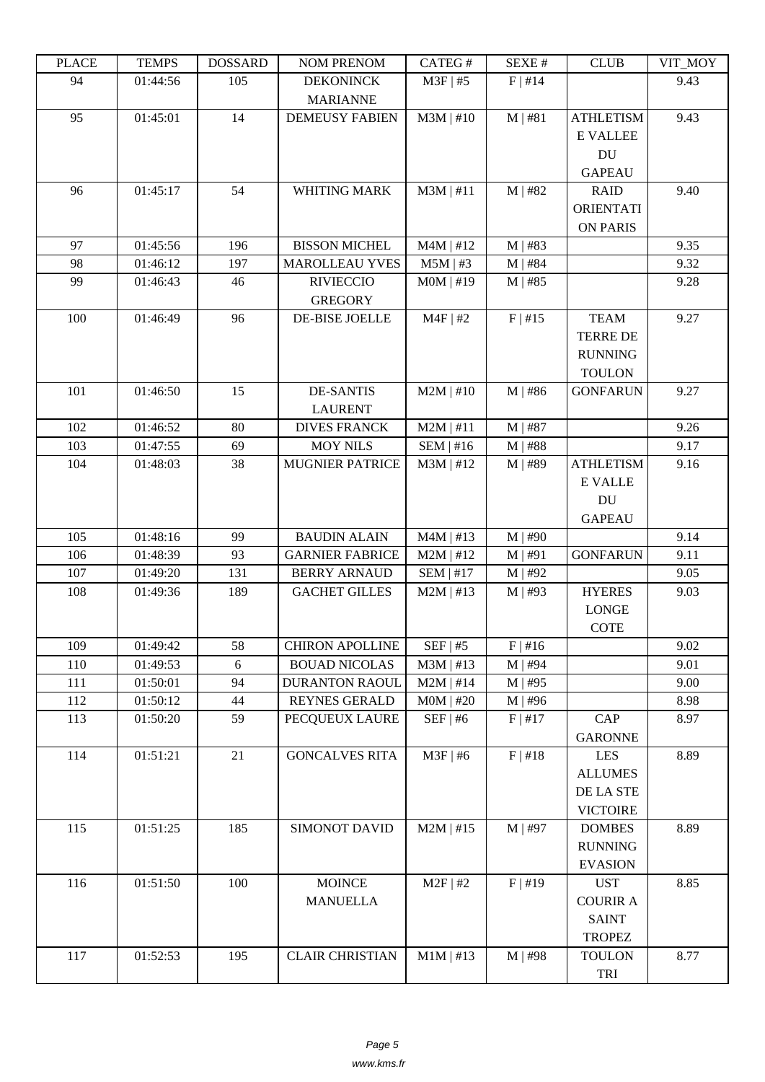| LLAUD | L LIVII D | <b>AWAGOOT</b> | <b>INUINI I INEINUINI</b> | CΛ1 LU π    | DL/AL π   | CLUD             | VII_WIO I |
|-------|-----------|----------------|---------------------------|-------------|-----------|------------------|-----------|
| 94    | 01:44:56  | 105            | <b>DEKONINCK</b>          | $M3F$   #5  | F   #14   |                  | 9.43      |
|       |           |                | <b>MARIANNE</b>           |             |           |                  |           |
| 95    | 01:45:01  | 14             | <b>DEMEUSY FABIEN</b>     | $M3M$   #10 | M   #81   | <b>ATHLETISM</b> | 9.43      |
|       |           |                |                           |             |           | <b>E VALLEE</b>  |           |
|       |           |                |                           |             |           | DU               |           |
|       |           |                |                           |             |           | <b>GAPEAU</b>    |           |
| 96    | 01:45:17  | 54             | WHITING MARK              | $M3M$   #11 | $M$   #82 | <b>RAID</b>      | 9.40      |
|       |           |                |                           |             |           | <b>ORIENTATI</b> |           |
|       |           |                |                           |             |           | <b>ON PARIS</b>  |           |
| 97    | 01:45:56  | 196            | <b>BISSON MICHEL</b>      | $M4M$   #12 | $M$   #83 |                  | 9.35      |
| 98    | 01:46:12  | 197            | <b>MAROLLEAU YVES</b>     | $M5M$   #3  | $M$   #84 |                  | 9.32      |
| 99    | 01:46:43  | 46             |                           | $MOM$   #19 | $M$   #85 |                  | 9.28      |
|       |           |                | <b>RIVIECCIO</b>          |             |           |                  |           |
|       |           |                | <b>GREGORY</b>            |             |           |                  |           |
| 100   | 01:46:49  | 96             | DE-BISE JOELLE            | $M4F$   #2  | F   #15   | <b>TEAM</b>      | 9.27      |
|       |           |                |                           |             |           | <b>TERRE DE</b>  |           |
|       |           |                |                           |             |           | <b>RUNNING</b>   |           |
|       |           |                |                           |             |           | <b>TOULON</b>    |           |
| 101   | 01:46:50  | 15             | <b>DE-SANTIS</b>          | $M2M$   #10 | $M$   #86 | <b>GONFARUN</b>  | 9.27      |
|       |           |                | <b>LAURENT</b>            |             |           |                  |           |
| 102   | 01:46:52  | 80             | <b>DIVES FRANCK</b>       | $M2M$   #11 | $M$   #87 |                  | 9.26      |
| 103   | 01:47:55  | 69             | <b>MOY NILS</b>           | $SEM$   #16 | $M$   #88 |                  | 9.17      |
| 104   | 01:48:03  | 38             | <b>MUGNIER PATRICE</b>    | $M3M$   #12 | M   #89   | <b>ATHLETISM</b> | 9.16      |
|       |           |                |                           |             |           | <b>E VALLE</b>   |           |
|       |           |                |                           |             |           | DU               |           |
|       |           |                |                           |             |           | <b>GAPEAU</b>    |           |
| 105   | 01:48:16  | 99             | <b>BAUDIN ALAIN</b>       | $M4M$   #13 | $M$   #90 |                  | 9.14      |
| 106   | 01:48:39  | 93             | <b>GARNIER FABRICE</b>    | $M2M$   #12 | M   #91   | <b>GONFARUN</b>  | 9.11      |
| 107   | 01:49:20  | 131            | <b>BERRY ARNAUD</b>       | $SEM$   #17 | $M$   #92 |                  | 9.05      |
| 108   | 01:49:36  | 189            | <b>GACHET GILLES</b>      | $M2M$   #13 | $M$   #93 | <b>HYERES</b>    | 9.03      |
|       |           |                |                           |             |           | <b>LONGE</b>     |           |
|       |           |                |                           |             |           | <b>COTE</b>      |           |
| 109   | 01:49:42  | 58             | <b>CHIRON APOLLINE</b>    | $SEF$   #5  | $F$ #16   |                  | 9.02      |
| 110   | 01:49:53  | 6              | <b>BOUAD NICOLAS</b>      | $M3M$   #13 | $M$   #94 |                  | 9.01      |
| 111   | 01:50:01  | 94             | <b>DURANTON RAOUL</b>     | $M2M$   #14 | $M$   #95 |                  | 9.00      |
| 112   | 01:50:12  | 44             | <b>REYNES GERALD</b>      | $MOM$   #20 | $M$   #96 |                  | 8.98      |
| 113   | 01:50:20  | 59             | PECQUEUX LAURE            | $SEF$   #6  | F   #17   | <b>CAP</b>       | 8.97      |
|       |           |                |                           |             |           | <b>GARONNE</b>   |           |
| 114   | 01:51:21  | 21             | <b>GONCALVES RITA</b>     | $M3F$   #6  | F   #18   | <b>LES</b>       | 8.89      |
|       |           |                |                           |             |           | <b>ALLUMES</b>   |           |
|       |           |                |                           |             |           | DE LA STE        |           |
|       |           |                |                           |             |           | <b>VICTOIRE</b>  |           |
| 115   | 01:51:25  | 185            | SIMONOT DAVID             | $M2M$   #15 | $M$   #97 | <b>DOMBES</b>    | 8.89      |
|       |           |                |                           |             |           | <b>RUNNING</b>   |           |
|       |           |                |                           |             |           | <b>EVASION</b>   |           |
|       |           |                |                           |             |           |                  |           |
| 116   | 01:51:50  | 100            | <b>MOINCE</b>             | $M2F$   #2  | F   #19   | <b>UST</b>       | 8.85      |
|       |           |                | <b>MANUELLA</b>           |             |           | <b>COURIR A</b>  |           |
|       |           |                |                           |             |           | <b>SAINT</b>     |           |
|       |           |                |                           |             |           | <b>TROPEZ</b>    |           |
| 117   | 01:52:53  | 195            | <b>CLAIR CHRISTIAN</b>    | $M1M$   #13 | $M$   #98 | <b>TOULON</b>    | 8.77      |
|       |           |                |                           |             |           | TRI              |           |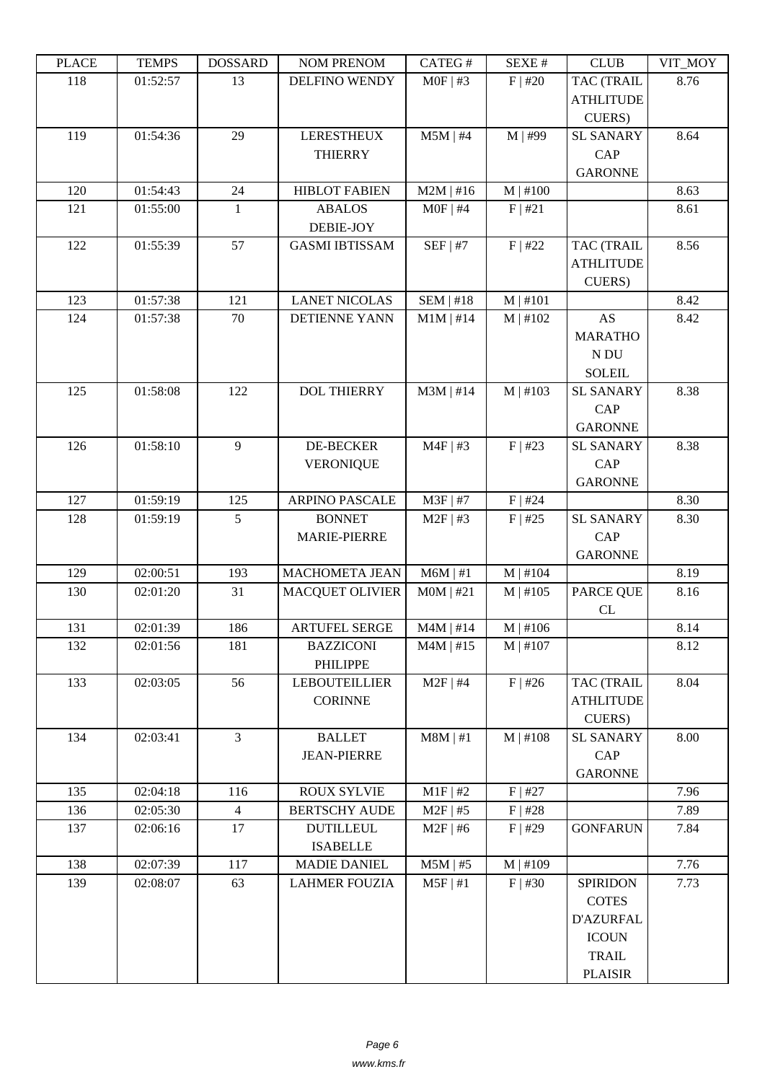| LLAUL | ט IL הו  | <b>ANURGOA</b> | <b>NUMERION</b>        | CATLO T     | DL/AL π    | CLUD              | VII_MUI |
|-------|----------|----------------|------------------------|-------------|------------|-------------------|---------|
| 118   | 01:52:57 | 13             | <b>DELFINO WENDY</b>   | $MOF$   #3  | $F$   #20  | <b>TAC (TRAIL</b> | 8.76    |
|       |          |                |                        |             |            | <b>ATHLITUDE</b>  |         |
|       |          |                |                        |             |            | CUERS)            |         |
| 119   | 01:54:36 | 29             | <b>LERESTHEUX</b>      | $M5M$   #4  | M   #99    | <b>SL SANARY</b>  | 8.64    |
|       |          |                | <b>THIERRY</b>         |             |            | CAP               |         |
|       |          |                |                        |             |            | <b>GARONNE</b>    |         |
| 120   | 01:54:43 | 24             | <b>HIBLOT FABIEN</b>   | $M2M$   #16 | $M$   #100 |                   | 8.63    |
| 121   | 01:55:00 | $\mathbf{1}$   | <b>ABALOS</b>          | $MOF$   #4  | F   #21    |                   | 8.61    |
|       |          |                |                        |             |            |                   |         |
|       |          |                | DEBIE-JOY              |             |            |                   |         |
| 122   | 01:55:39 | 57             | <b>GASMI IBTISSAM</b>  | $SEF$   #7  | $F$   #22  | <b>TAC (TRAIL</b> | 8.56    |
|       |          |                |                        |             |            | <b>ATHLITUDE</b>  |         |
|       |          |                |                        |             |            | CUERS)            |         |
| 123   | 01:57:38 | 121            | <b>LANET NICOLAS</b>   | SEM   #18   | $M$   #101 |                   | 8.42    |
| 124   | 01:57:38 | 70             | <b>DETIENNE YANN</b>   | $M1M$   #14 | $M$   #102 | <b>AS</b>         | 8.42    |
|       |          |                |                        |             |            | <b>MARATHO</b>    |         |
|       |          |                |                        |             |            | N DU              |         |
|       |          |                |                        |             |            | <b>SOLEIL</b>     |         |
| 125   | 01:58:08 | 122            | <b>DOL THIERRY</b>     | $M3M$   #14 | M   #103   | <b>SL SANARY</b>  | 8.38    |
|       |          |                |                        |             |            | <b>CAP</b>        |         |
|       |          |                |                        |             |            | <b>GARONNE</b>    |         |
| 126   | 01:58:10 | 9              | <b>DE-BECKER</b>       |             |            |                   |         |
|       |          |                |                        | $M4F$   #3  | F   #23    | <b>SL SANARY</b>  | 8.38    |
|       |          |                | <b>VERONIQUE</b>       |             |            | <b>CAP</b>        |         |
|       |          |                |                        |             |            | <b>GARONNE</b>    |         |
| 127   | 01:59:19 | 125            | <b>ARPINO PASCALE</b>  | $M3F$   #7  | $F$   #24  |                   | 8.30    |
| 128   | 01:59:19 | 5              | <b>BONNET</b>          | $M2F$   #3  | $F$   #25  | <b>SL SANARY</b>  | 8.30    |
|       |          |                | <b>MARIE-PIERRE</b>    |             |            | <b>CAP</b>        |         |
|       |          |                |                        |             |            | <b>GARONNE</b>    |         |
| 129   | 02:00:51 | 193            | MACHOMETA JEAN         | $M6M$   #1  | $M$   #104 |                   | 8.19    |
| 130   | 02:01:20 | 31             | <b>MACQUET OLIVIER</b> | $MOM$   #21 | M   #105   | PARCE QUE         | 8.16    |
|       |          |                |                        |             |            | CL                |         |
| 131   | 02:01:39 | 186            | <b>ARTUFEL SERGE</b>   | $M4M$   #14 | $M$   #106 |                   | 8.14    |
| 132   | 02:01:56 | 181            | <b>BAZZICONI</b>       | $M4M$   #15 | $M$   #107 |                   | 8.12    |
|       |          |                | PHILIPPE               |             |            |                   |         |
| 133   | 02:03:05 | 56             | <b>LEBOUTEILLIER</b>   | $M2F$   #4  | $F$   #26  | <b>TAC (TRAIL</b> | 8.04    |
|       |          |                | <b>CORINNE</b>         |             |            | <b>ATHLITUDE</b>  |         |
|       |          |                |                        |             |            | CUERS)            |         |
| 134   | 02:03:41 | $\overline{3}$ | <b>BALLET</b>          | $M8M$   #1  | $M$   #108 |                   | 8.00    |
|       |          |                |                        |             |            | <b>SL SANARY</b>  |         |
|       |          |                | <b>JEAN-PIERRE</b>     |             |            | CAP               |         |
|       |          |                |                        |             |            | <b>GARONNE</b>    |         |
| 135   | 02:04:18 | 116            | <b>ROUX SYLVIE</b>     | $M1F$ #2    | $F$   #27  |                   | 7.96    |
| 136   | 02:05:30 | $\overline{4}$ | <b>BERTSCHY AUDE</b>   | $M2F$   #5  | $F$   #28  |                   | 7.89    |
| 137   | 02:06:16 | 17             | <b>DUTILLEUL</b>       | $M2F$   #6  | $F$   #29  | <b>GONFARUN</b>   | 7.84    |
|       |          |                | <b>ISABELLE</b>        |             |            |                   |         |
| 138   | 02:07:39 | 117            | <b>MADIE DANIEL</b>    | $M5M$   #5  | $M$   #109 |                   | 7.76    |
| 139   | 02:08:07 | 63             | <b>LAHMER FOUZIA</b>   | $M5F$   #1  | $F$   #30  | <b>SPIRIDON</b>   | 7.73    |
|       |          |                |                        |             |            | <b>COTES</b>      |         |
|       |          |                |                        |             |            | <b>D'AZURFAL</b>  |         |
|       |          |                |                        |             |            | <b>ICOUN</b>      |         |
|       |          |                |                        |             |            | <b>TRAIL</b>      |         |
|       |          |                |                        |             |            | <b>PLAISIR</b>    |         |
|       |          |                |                        |             |            |                   |         |